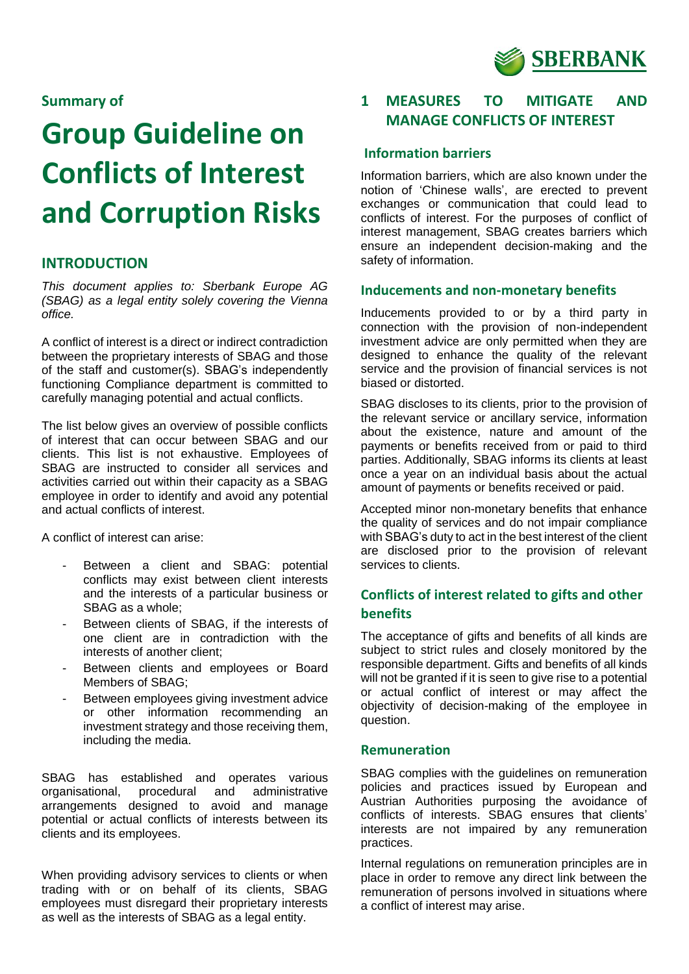

## **Summary of**

# **Group Guideline on Conflicts of Interest and Corruption Risks**

## **INTRODUCTION**

*This document applies to: Sberbank Europe AG (SBAG) as a legal entity solely covering the Vienna office.* 

A conflict of interest is a direct or indirect contradiction between the proprietary interests of SBAG and those of the staff and customer(s). SBAG's independently functioning Compliance department is committed to carefully managing potential and actual conflicts.

The list below gives an overview of possible conflicts of interest that can occur between SBAG and our clients. This list is not exhaustive. Employees of SBAG are instructed to consider all services and activities carried out within their capacity as a SBAG employee in order to identify and avoid any potential and actual conflicts of interest.

A conflict of interest can arise:

- Between a client and SBAG: potential conflicts may exist between client interests and the interests of a particular business or SBAG as a whole;
- Between clients of SBAG, if the interests of one client are in contradiction with the interests of another client;
- Between clients and employees or Board Members of SBAG;
- Between employees giving investment advice or other information recommending an investment strategy and those receiving them, including the media.

SBAG has established and operates various organisational, procedural and administrative arrangements designed to avoid and manage potential or actual conflicts of interests between its clients and its employees.

When providing advisory services to clients or when trading with or on behalf of its clients, SBAG employees must disregard their proprietary interests as well as the interests of SBAG as a legal entity.

# **1 MEASURES TO MITIGATE AND MANAGE CONFLICTS OF INTEREST**

## **Information barriers**

Information barriers, which are also known under the notion of 'Chinese walls', are erected to prevent exchanges or communication that could lead to conflicts of interest. For the purposes of conflict of interest management, SBAG creates barriers which ensure an independent decision-making and the safety of information.

#### **Inducements and non-monetary benefits**

Inducements provided to or by a third party in connection with the provision of non-independent investment advice are only permitted when they are designed to enhance the quality of the relevant service and the provision of financial services is not biased or distorted.

SBAG discloses to its clients, prior to the provision of the relevant service or ancillary service, information about the existence, nature and amount of the payments or benefits received from or paid to third parties. Additionally, SBAG informs its clients at least once a year on an individual basis about the actual amount of payments or benefits received or paid.

Accepted minor non-monetary benefits that enhance the quality of services and do not impair compliance with SBAG's duty to act in the best interest of the client are disclosed prior to the provision of relevant services to clients.

# **Conflicts of interest related to gifts and other benefits**

The acceptance of gifts and benefits of all kinds are subject to strict rules and closely monitored by the responsible department. Gifts and benefits of all kinds will not be granted if it is seen to give rise to a potential or actual conflict of interest or may affect the objectivity of decision-making of the employee in question.

#### **Remuneration**

SBAG complies with the guidelines on remuneration policies and practices issued by European and Austrian Authorities purposing the avoidance of conflicts of interests. SBAG ensures that clients' interests are not impaired by any remuneration practices.

Internal regulations on remuneration principles are in place in order to remove any direct link between the remuneration of persons involved in situations where a conflict of interest may arise.